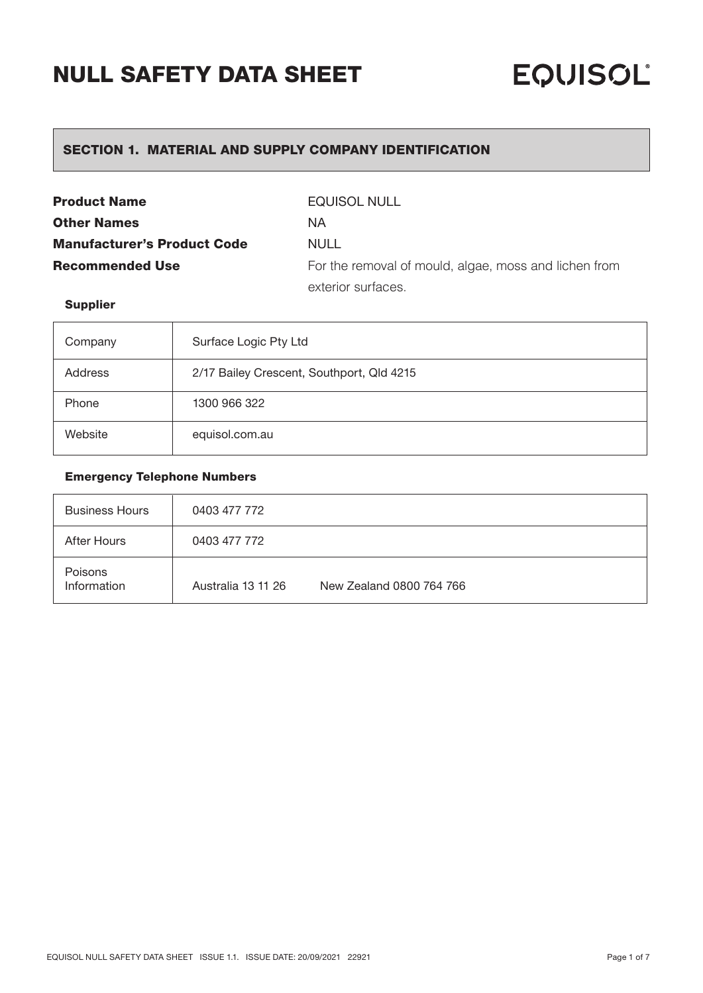## SECTION 1. MATERIAL AND SUPPLY COMPANY IDENTIFICATION

| <b>Product Name</b>                | <b>EQUISOL NULL</b>                                   |
|------------------------------------|-------------------------------------------------------|
| <b>Other Names</b>                 | <b>NA</b>                                             |
| <b>Manufacturer's Product Code</b> | NULL                                                  |
| <b>Recommended Use</b>             | For the removal of mould, algae, moss and lichen from |
|                                    | exterior surfaces.                                    |

### Supplier

| Company | Surface Logic Pty Ltd                     |
|---------|-------------------------------------------|
| Address | 2/17 Bailey Crescent, Southport, Qld 4215 |
| Phone   | 1300 966 322                              |
| Website | equisol.com.au                            |

### Emergency Telephone Numbers

| <b>Business Hours</b>         | 0403 477 772       |                          |
|-------------------------------|--------------------|--------------------------|
| After Hours                   | 0403 477 772       |                          |
| <b>Poisons</b><br>Information | Australia 13 11 26 | New Zealand 0800 764 766 |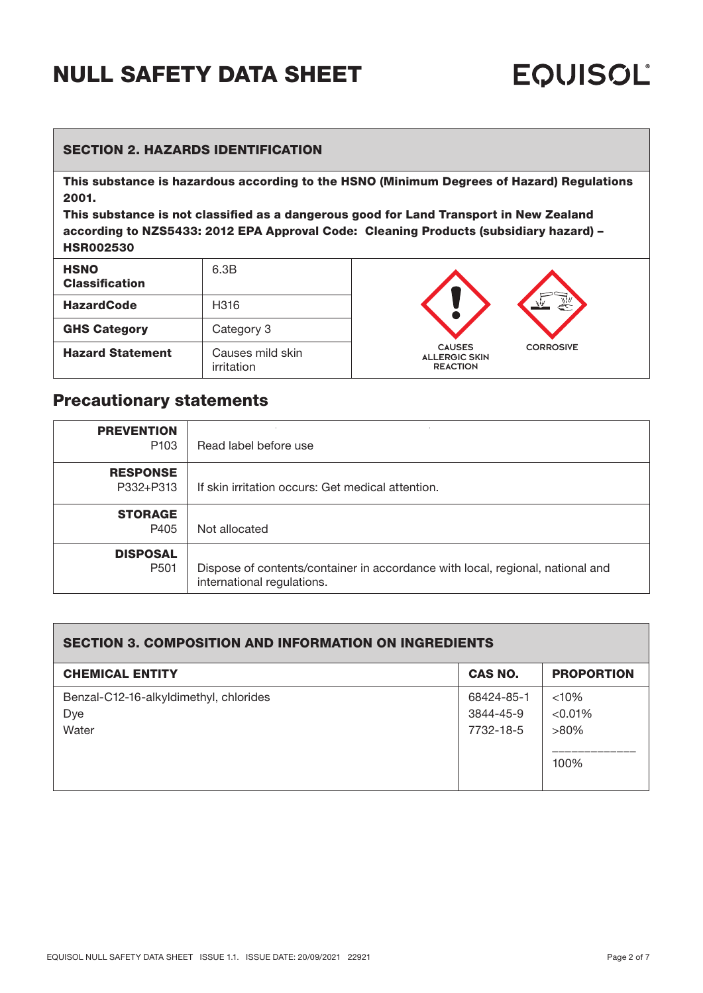### SECTION 2. HAZARDS IDENTIFICATION

This substance is hazardous according to the HSNO (Minimum Degrees of Hazard) Regulations 2001.

This substance is not classified as a dangerous good for Land Transport in New Zealand according to NZS5433: 2012 EPA Approval Code: Cleaning Products (subsidiary hazard) – HSR002530

| <b>HSNO</b><br><b>Classification</b> | 6.3B                           |
|--------------------------------------|--------------------------------|
| <b>HazardCode</b>                    | H316                           |
| <b>GHS Category</b>                  | Category 3                     |
| <b>Hazard Statement</b>              | Causes mild skin<br>irritation |



## Precautionary statements

| <b>PREVENTION</b><br>P <sub>103</sub> | Read label before use                                                                                        |
|---------------------------------------|--------------------------------------------------------------------------------------------------------------|
| <b>RESPONSE</b><br>P332+P313          | If skin irritation occurs: Get medical attention.                                                            |
| <b>STORAGE</b><br>P405                | Not allocated                                                                                                |
| <b>DISPOSAL</b><br>P <sub>501</sub>   | Dispose of contents/container in accordance with local, regional, national and<br>international regulations. |

### SECTION 3. COMPOSITION AND INFORMATION ON INGREDIENTS

| <b>CHEMICAL ENTITY</b>                 | <b>CAS NO.</b> | <b>PROPORTION</b> |
|----------------------------------------|----------------|-------------------|
|                                        |                |                   |
| Benzal-C12-16-alkyldimethyl, chlorides | 68424-85-1     | $<10\%$           |
| Dye                                    | 3844-45-9      | < 0.01%           |
| Water                                  | 7732-18-5      | $>80\%$           |
|                                        |                |                   |
|                                        |                | 100%              |
|                                        |                |                   |
|                                        |                |                   |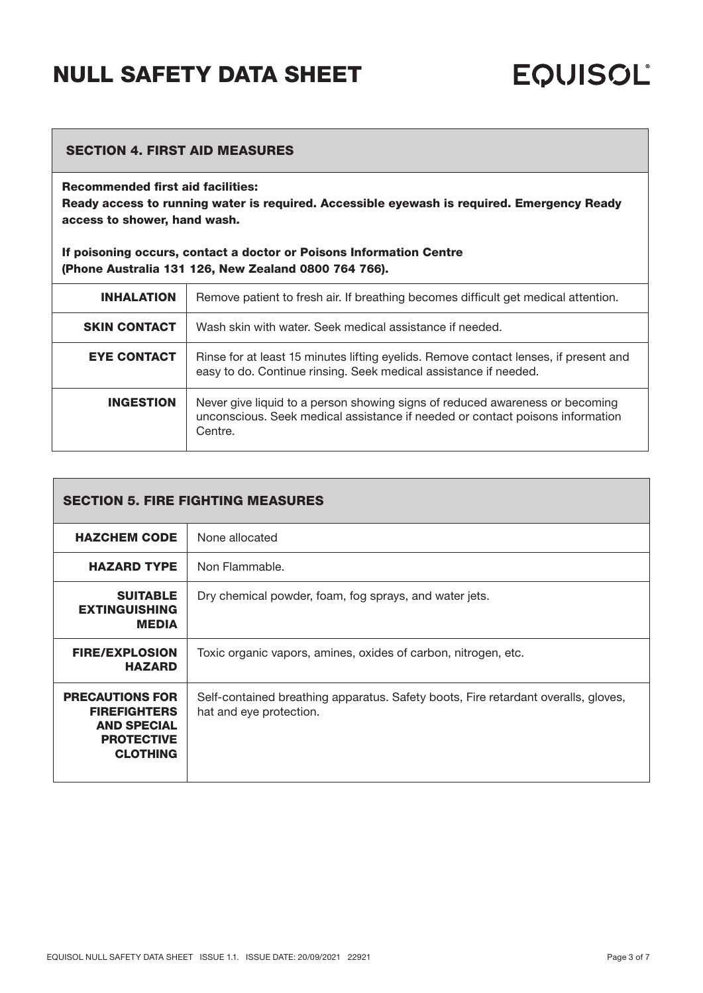### SECTION 4. FIRST AID MEASURES

### Recommended first aid facilities:

Ready access to running water is required. Accessible eyewash is required. Emergency Ready access to shower, hand wash.

If poisoning occurs, contact a doctor or Poisons Information Centre (Phone Australia 131 126, New Zealand 0800 764 766).

| <b>INHALATION</b>   | Remove patient to fresh air. If breathing becomes difficult get medical attention.                                                                                       |
|---------------------|--------------------------------------------------------------------------------------------------------------------------------------------------------------------------|
| <b>SKIN CONTACT</b> | Wash skin with water. Seek medical assistance if needed.                                                                                                                 |
| <b>EYE CONTACT</b>  | Rinse for at least 15 minutes lifting eyelids. Remove contact lenses, if present and<br>easy to do. Continue rinsing. Seek medical assistance if needed.                 |
| <b>INGESTION</b>    | Never give liquid to a person showing signs of reduced awareness or becoming<br>unconscious. Seek medical assistance if needed or contact poisons information<br>Centre. |

| <b>SECTION 5. FIRE FIGHTING MEASURES</b>                                                                    |                                                                                                               |
|-------------------------------------------------------------------------------------------------------------|---------------------------------------------------------------------------------------------------------------|
| <b>HAZCHEM CODE</b>                                                                                         | None allocated                                                                                                |
| <b>HAZARD TYPE</b>                                                                                          | Non Flammable.                                                                                                |
| <b>SUITABLE</b><br><b>EXTINGUISHING</b><br><b>MEDIA</b>                                                     | Dry chemical powder, foam, fog sprays, and water jets.                                                        |
| <b>FIRE/EXPLOSION</b><br><b>HAZARD</b>                                                                      | Toxic organic vapors, amines, oxides of carbon, nitrogen, etc.                                                |
| <b>PRECAUTIONS FOR</b><br><b>FIREFIGHTERS</b><br><b>AND SPECIAL</b><br><b>PROTECTIVE</b><br><b>CLOTHING</b> | Self-contained breathing apparatus. Safety boots, Fire retardant overalls, gloves,<br>hat and eye protection. |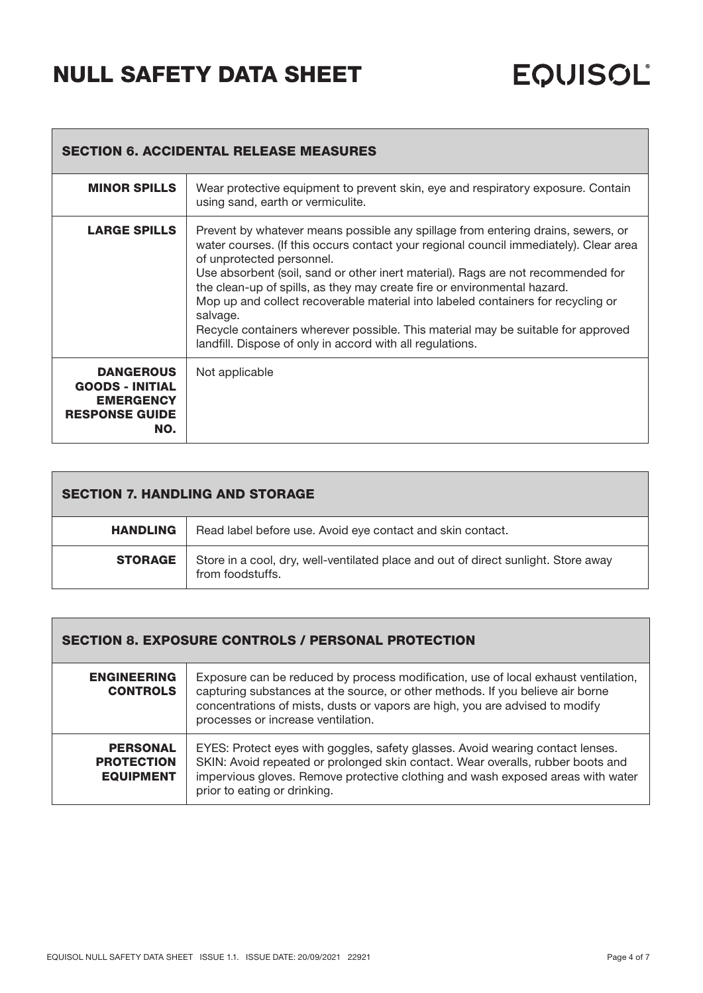| <b>SECTION 6. ACCIDENTAL RELEASE MEASURES</b>                                                  |                                                                                                                                                                                                                                                                                                                                                                                                                                                                                                                                                                                                                         |  |
|------------------------------------------------------------------------------------------------|-------------------------------------------------------------------------------------------------------------------------------------------------------------------------------------------------------------------------------------------------------------------------------------------------------------------------------------------------------------------------------------------------------------------------------------------------------------------------------------------------------------------------------------------------------------------------------------------------------------------------|--|
| <b>MINOR SPILLS</b>                                                                            | Wear protective equipment to prevent skin, eye and respiratory exposure. Contain<br>using sand, earth or vermiculite.                                                                                                                                                                                                                                                                                                                                                                                                                                                                                                   |  |
| <b>LARGE SPILLS</b>                                                                            | Prevent by whatever means possible any spillage from entering drains, sewers, or<br>water courses. (If this occurs contact your regional council immediately). Clear area<br>of unprotected personnel.<br>Use absorbent (soil, sand or other inert material). Rags are not recommended for<br>the clean-up of spills, as they may create fire or environmental hazard.<br>Mop up and collect recoverable material into labeled containers for recycling or<br>salvage.<br>Recycle containers wherever possible. This material may be suitable for approved<br>landfill. Dispose of only in accord with all regulations. |  |
| <b>DANGEROUS</b><br><b>GOODS - INITIAL</b><br><b>EMERGENCY</b><br><b>RESPONSE GUIDE</b><br>NO. | Not applicable                                                                                                                                                                                                                                                                                                                                                                                                                                                                                                                                                                                                          |  |

| <b>SECTION 7. HANDLING AND STORAGE</b> |                                                                                                        |
|----------------------------------------|--------------------------------------------------------------------------------------------------------|
| <b>HANDLING</b>                        | Read label before use. Avoid eye contact and skin contact.                                             |
| <b>STORAGE</b>                         | Store in a cool, dry, well-ventilated place and out of direct sunlight. Store away<br>from foodstuffs. |

## SECTION 8. EXPOSURE CONTROLS / PERSONAL PROTECTION

| <b>ENGINEERING</b><br><b>CONTROLS</b>                    | Exposure can be reduced by process modification, use of local exhaust ventilation,<br>capturing substances at the source, or other methods. If you believe air borne<br>concentrations of mists, dusts or vapors are high, you are advised to modify<br>processes or increase ventilation. |
|----------------------------------------------------------|--------------------------------------------------------------------------------------------------------------------------------------------------------------------------------------------------------------------------------------------------------------------------------------------|
| <b>PERSONAL</b><br><b>PROTECTION</b><br><b>EQUIPMENT</b> | EYES: Protect eyes with goggles, safety glasses. Avoid wearing contact lenses.<br>SKIN: Avoid repeated or prolonged skin contact. Wear overalls, rubber boots and<br>impervious gloves. Remove protective clothing and wash exposed areas with water<br>prior to eating or drinking.       |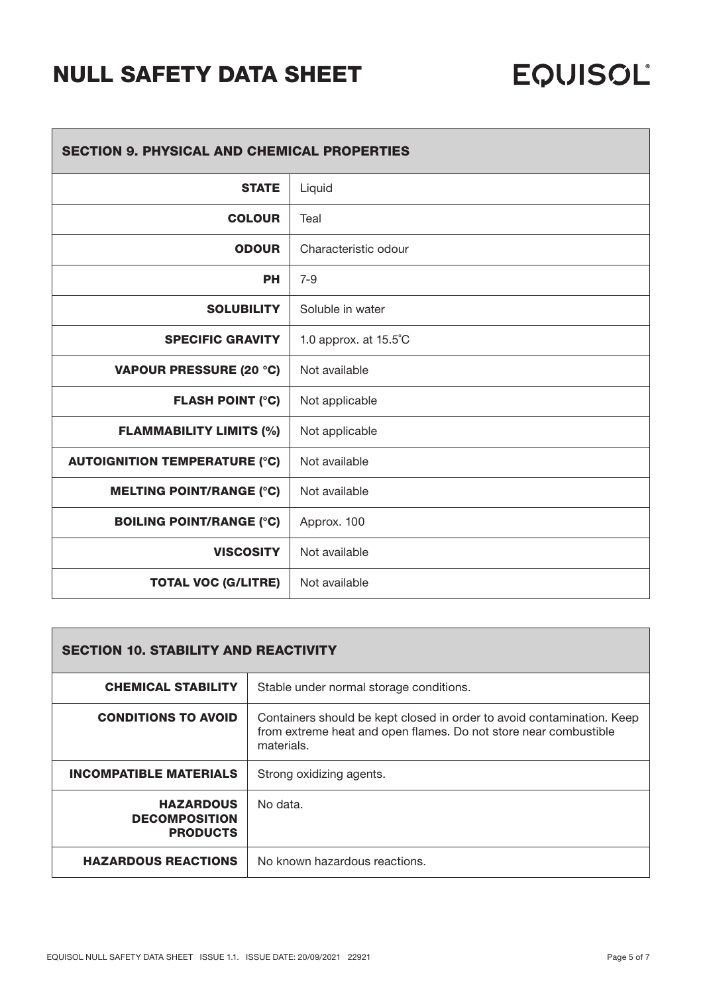| <b>SECTION 9. PHYSICAL AND CHEMICAL PROPERTIES</b> |                       |  |
|----------------------------------------------------|-----------------------|--|
| <b>STATE</b>                                       | Liquid                |  |
| <b>COLOUR</b>                                      | Teal                  |  |
| <b>ODOUR</b>                                       | Characteristic odour  |  |
| <b>PH</b>                                          | $7 - 9$               |  |
| <b>SOLUBILITY</b>                                  | Soluble in water      |  |
| <b>SPECIFIC GRAVITY</b>                            | 1.0 approx. at 15.5°C |  |
| <b>VAPOUR PRESSURE (20 °C)</b>                     | Not available         |  |
| <b>FLASH POINT (°C)</b>                            | Not applicable        |  |
| <b>FLAMMABILITY LIMITS (%)</b>                     | Not applicable        |  |
| <b>AUTOIGNITION TEMPERATURE (°C)</b>               | Not available         |  |
| <b>MELTING POINT/RANGE (°C)</b>                    | Not available         |  |
| <b>BOILING POINT/RANGE (°C)</b>                    | Approx. 100           |  |
| <b>VISCOSITY</b>                                   | Not available         |  |
| <b>TOTAL VOC (G/LITRE)</b>                         | Not available         |  |

| <b>SECTION 10. STABILITY AND REACTIVITY</b>                 |                                                                                                                                                          |
|-------------------------------------------------------------|----------------------------------------------------------------------------------------------------------------------------------------------------------|
| <b>CHEMICAL STABILITY</b>                                   | Stable under normal storage conditions.                                                                                                                  |
| <b>CONDITIONS TO AVOID</b>                                  | Containers should be kept closed in order to avoid contamination. Keep<br>from extreme heat and open flames. Do not store near combustible<br>materials. |
| <b>INCOMPATIBLE MATERIALS</b>                               | Strong oxidizing agents.                                                                                                                                 |
| <b>HAZARDOUS</b><br><b>DECOMPOSITION</b><br><b>PRODUCTS</b> | No data.                                                                                                                                                 |
| <b>HAZARDOUS REACTIONS</b>                                  | No known hazardous reactions.                                                                                                                            |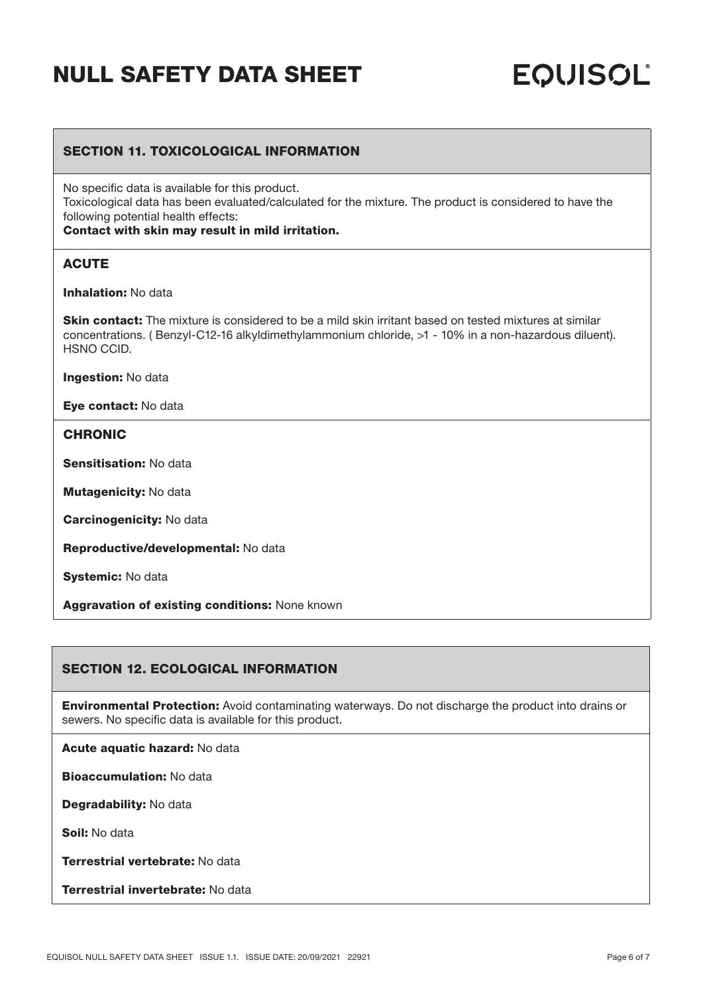# **EQUISOL**

### SECTION 11. TOXICOLOGICAL INFORMATION

No specific data is available for this product.

Toxicological data has been evaluated/calculated for the mixture. The product is considered to have the following potential health effects:

### Contact with skin may result in mild irritation.

### **ACUTE**

Inhalation: No data

**Skin contact:** The mixture is considered to be a mild skin irritant based on tested mixtures at similar concentrations. ( Benzyl-C12-16 alkyldimethylammonium chloride, >1 - 10% in a non-hazardous diluent). HSNO CCID.

Ingestion: No data

Eye contact: No data

### **CHRONIC**

Sensitisation: No data

**Mutagenicity: No data** 

Carcinogenicity: No data

Reproductive/developmental: No data

Systemic: No data

Aggravation of existing conditions: None known

### SECTION 12. ECOLOGICAL INFORMATION

Environmental Protection: Avoid contaminating waterways. Do not discharge the product into drains or sewers. No specific data is available for this product.

Acute aquatic hazard: No data

Bioaccumulation: No data

Degradability: No data

Soil: No data

Terrestrial vertebrate: No data

Terrestrial invertebrate: No data